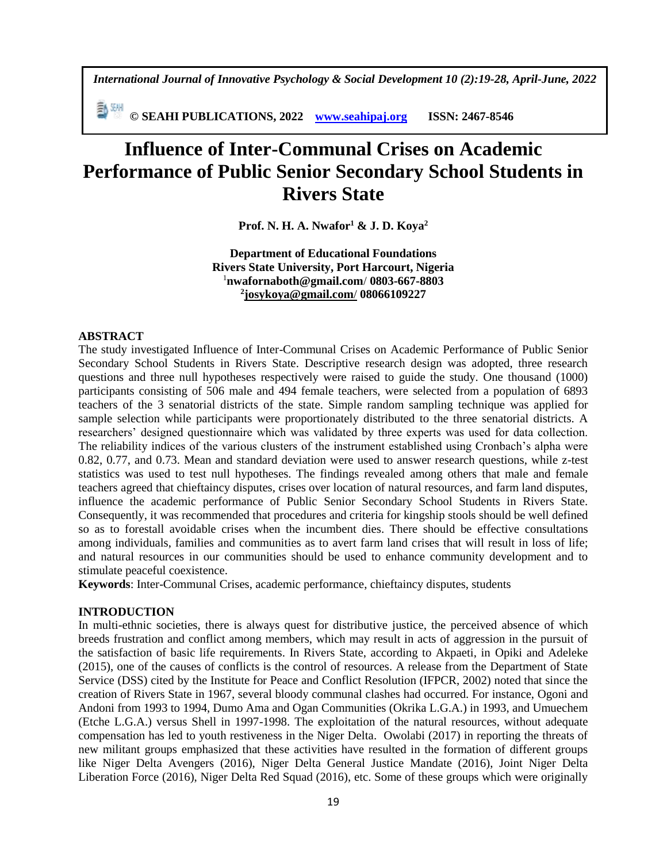*International Journal of Innovative Psychology & Social Development 10 (2):19-28, April-June, 2022*

**© SEAHI PUBLICATIONS, 2022 [www.seahipaj.org](http://www.seahipaj.org/) ISSN: 2467-8546**

# **Influence of Inter-Communal Crises on Academic Performance of Public Senior Secondary School Students in Rivers State**

**Prof. N. H. A. Nwafor<sup>1</sup> & J. D. Koya<sup>2</sup>**

**Department of Educational Foundations Rivers State University, Port Harcourt, Nigeria**  <sup>1</sup>**[nwafornaboth@gmail.com](mailto:nwafornaboth@gmail.com)**/ **0803-667-8803 2 [josykoya@gmail.com](mailto:josykoya@gmail.com/)**/ **08066109227**

## **ABSTRACT**

The study investigated Influence of Inter-Communal Crises on Academic Performance of Public Senior Secondary School Students in Rivers State. Descriptive research design was adopted, three research questions and three null hypotheses respectively were raised to guide the study. One thousand (1000) participants consisting of 506 male and 494 female teachers, were selected from a population of 6893 teachers of the 3 senatorial districts of the state. Simple random sampling technique was applied for sample selection while participants were proportionately distributed to the three senatorial districts. A researchers' designed questionnaire which was validated by three experts was used for data collection. The reliability indices of the various clusters of the instrument established using Cronbach's alpha were 0.82, 0.77, and 0.73. Mean and standard deviation were used to answer research questions, while z-test statistics was used to test null hypotheses. The findings revealed among others that male and female teachers agreed that chieftaincy disputes, crises over location of natural resources, and farm land disputes, influence the academic performance of Public Senior Secondary School Students in Rivers State. Consequently, it was recommended that procedures and criteria for kingship stools should be well defined so as to forestall avoidable crises when the incumbent dies. There should be effective consultations among individuals, families and communities as to avert farm land crises that will result in loss of life; and natural resources in our communities should be used to enhance community development and to stimulate peaceful coexistence.

**Keywords**: Inter-Communal Crises, academic performance, chieftaincy disputes, students

#### **INTRODUCTION**

In multi-ethnic societies, there is always quest for distributive justice, the perceived absence of which breeds frustration and conflict among members, which may result in acts of aggression in the pursuit of the satisfaction of basic life requirements. In Rivers State, according to Akpaeti, in Opiki and Adeleke (2015), one of the causes of conflicts is the control of resources. A release from the Department of State Service (DSS) cited by the Institute for Peace and Conflict Resolution (IFPCR, 2002) noted that since the creation of Rivers State in 1967, several bloody communal clashes had occurred. For instance, Ogoni and Andoni from 1993 to 1994, Dumo Ama and Ogan Communities (Okrika L.G.A.) in 1993, and Umuechem (Etche L.G.A.) versus Shell in 1997-1998. The exploitation of the natural resources, without adequate compensation has led to youth restiveness in the Niger Delta. Owolabi (2017) in reporting the threats of new militant groups emphasized that these activities have resulted in the formation of different groups like Niger Delta Avengers (2016), Niger Delta General Justice Mandate (2016), Joint Niger Delta Liberation Force (2016), Niger Delta Red Squad (2016), etc. Some of these groups which were originally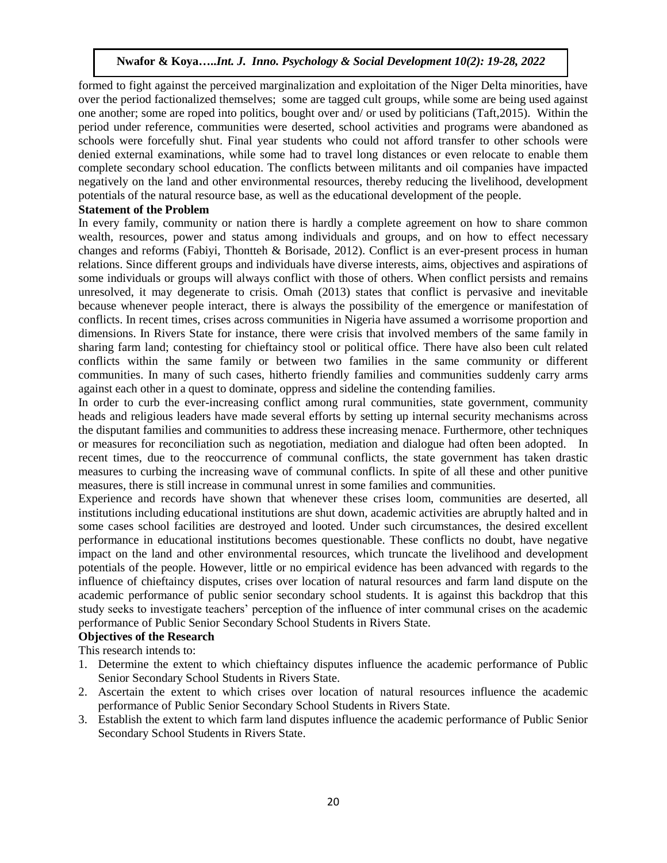formed to fight against the perceived marginalization and exploitation of the Niger Delta minorities, have over the period factionalized themselves; some are tagged cult groups, while some are being used against one another; some are roped into politics, bought over and/ or used by politicians (Taft,2015). Within the period under reference, communities were deserted, school activities and programs were abandoned as schools were forcefully shut. Final year students who could not afford transfer to other schools were denied external examinations, while some had to travel long distances or even relocate to enable them complete secondary school education. The conflicts between militants and oil companies have impacted negatively on the land and other environmental resources, thereby reducing the livelihood, development potentials of the natural resource base, as well as the educational development of the people.

#### **Statement of the Problem**

In every family, community or nation there is hardly a complete agreement on how to share common wealth, resources, power and status among individuals and groups, and on how to effect necessary changes and reforms (Fabiyi, Thontteh & Borisade, 2012). Conflict is an ever-present process in human relations. Since different groups and individuals have diverse interests, aims, objectives and aspirations of some individuals or groups will always conflict with those of others. When conflict persists and remains unresolved, it may degenerate to crisis. Omah (2013) states that conflict is pervasive and inevitable because whenever people interact, there is always the possibility of the emergence or manifestation of conflicts. In recent times, crises across communities in Nigeria have assumed a worrisome proportion and dimensions. In Rivers State for instance, there were crisis that involved members of the same family in sharing farm land; contesting for chieftaincy stool or political office. There have also been cult related conflicts within the same family or between two families in the same community or different communities. In many of such cases, hitherto friendly families and communities suddenly carry arms against each other in a quest to dominate, oppress and sideline the contending families.

In order to curb the ever-increasing conflict among rural communities, state government, community heads and religious leaders have made several efforts by setting up internal security mechanisms across the disputant families and communities to address these increasing menace. Furthermore, other techniques or measures for reconciliation such as negotiation, mediation and dialogue had often been adopted. In recent times, due to the reoccurrence of communal conflicts, the state government has taken drastic measures to curbing the increasing wave of communal conflicts. In spite of all these and other punitive measures, there is still increase in communal unrest in some families and communities.

Experience and records have shown that whenever these crises loom, communities are deserted, all institutions including educational institutions are shut down, academic activities are abruptly halted and in some cases school facilities are destroyed and looted. Under such circumstances, the desired excellent performance in educational institutions becomes questionable. These conflicts no doubt, have negative impact on the land and other environmental resources, which truncate the livelihood and development potentials of the people. However, little or no empirical evidence has been advanced with regards to the influence of chieftaincy disputes, crises over location of natural resources and farm land dispute on the academic performance of public senior secondary school students. It is against this backdrop that this study seeks to investigate teachers' perception of the influence of inter communal crises on the academic performance of Public Senior Secondary School Students in Rivers State.

#### **Objectives of the Research**

This research intends to:

- 1. Determine the extent to which chieftaincy disputes influence the academic performance of Public Senior Secondary School Students in Rivers State.
- 2. Ascertain the extent to which crises over location of natural resources influence the academic performance of Public Senior Secondary School Students in Rivers State.
- 3. Establish the extent to which farm land disputes influence the academic performance of Public Senior Secondary School Students in Rivers State.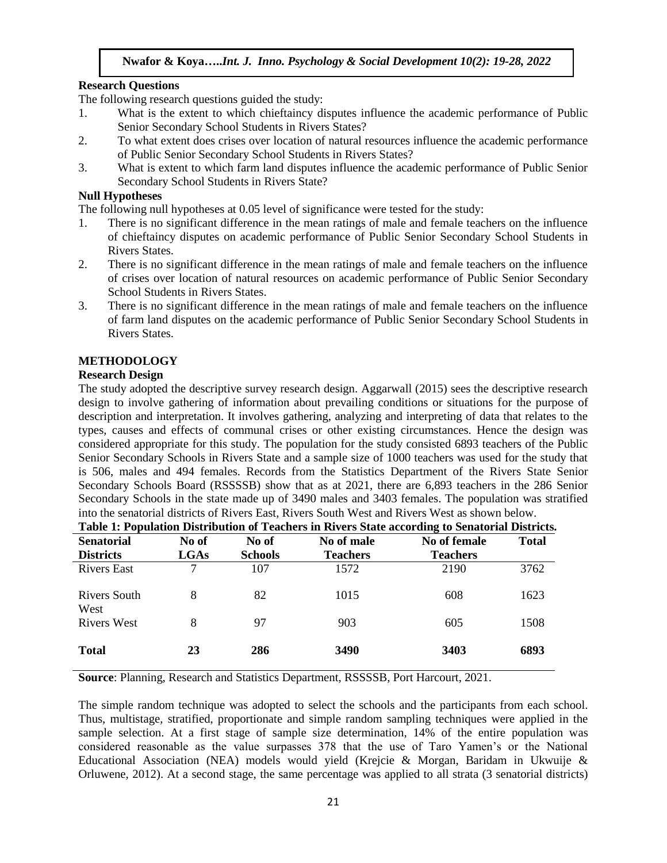## **Research Questions**

The following research questions guided the study:

- 1. What is the extent to which chieftaincy disputes influence the academic performance of Public Senior Secondary School Students in Rivers States?
- 2. To what extent does crises over location of natural resources influence the academic performance of Public Senior Secondary School Students in Rivers States?
- 3. What is extent to which farm land disputes influence the academic performance of Public Senior Secondary School Students in Rivers State?

## **Null Hypotheses**

The following null hypotheses at 0.05 level of significance were tested for the study:

- 1. There is no significant difference in the mean ratings of male and female teachers on the influence of chieftaincy disputes on academic performance of Public Senior Secondary School Students in Rivers States.
- 2. There is no significant difference in the mean ratings of male and female teachers on the influence of crises over location of natural resources on academic performance of Public Senior Secondary School Students in Rivers States.
- 3. There is no significant difference in the mean ratings of male and female teachers on the influence of farm land disputes on the academic performance of Public Senior Secondary School Students in Rivers States.

## **METHODOLOGY**

## **Research Design**

The study adopted the descriptive survey research design. Aggarwall (2015) sees the descriptive research design to involve gathering of information about prevailing conditions or situations for the purpose of description and interpretation. It involves gathering, analyzing and interpreting of data that relates to the types, causes and effects of communal crises or other existing circumstances. Hence the design was considered appropriate for this study. The population for the study consisted 6893 teachers of the Public Senior Secondary Schools in Rivers State and a sample size of 1000 teachers was used for the study that is 506, males and 494 females. Records from the Statistics Department of the Rivers State Senior Secondary Schools Board (RSSSSB) show that as at 2021, there are 6,893 teachers in the 286 Senior Secondary Schools in the state made up of 3490 males and 3403 females. The population was stratified into the senatorial districts of Rivers East, Rivers South West and Rivers West as shown below.

| Table 1: Population Distribution of Teachers in Rivers State according to Senatorial Districts. |             |                |                 |                 |              |  |  |  |  |  |
|-------------------------------------------------------------------------------------------------|-------------|----------------|-----------------|-----------------|--------------|--|--|--|--|--|
| <b>Senatorial</b>                                                                               | No of       | No of          | No of male      | No of female    | <b>Total</b> |  |  |  |  |  |
| <b>Districts</b>                                                                                | <b>LGAs</b> | <b>Schools</b> | <b>Teachers</b> | <b>Teachers</b> |              |  |  |  |  |  |
| <b>Rivers East</b>                                                                              | 7           | 107            | 1572            | 2190            | 3762         |  |  |  |  |  |
| Rivers South<br>West                                                                            | 8           | 82             | 1015            | 608             | 1623         |  |  |  |  |  |
| <b>Rivers West</b>                                                                              | 8           | 97             | 903             | 605             | 1508         |  |  |  |  |  |
| <b>Total</b>                                                                                    | 23          | 286            | 3490            | 3403            | 6893         |  |  |  |  |  |

**Source**: Planning, Research and Statistics Department, RSSSSB, Port Harcourt, 2021.

The simple random technique was adopted to select the schools and the participants from each school. Thus, multistage, stratified, proportionate and simple random sampling techniques were applied in the sample selection. At a first stage of sample size determination, 14% of the entire population was considered reasonable as the value surpasses 378 that the use of Taro Yamen's or the National Educational Association (NEA) models would yield (Krejcie & Morgan, Baridam in Ukwuije & Orluwene, 2012). At a second stage, the same percentage was applied to all strata (3 senatorial districts)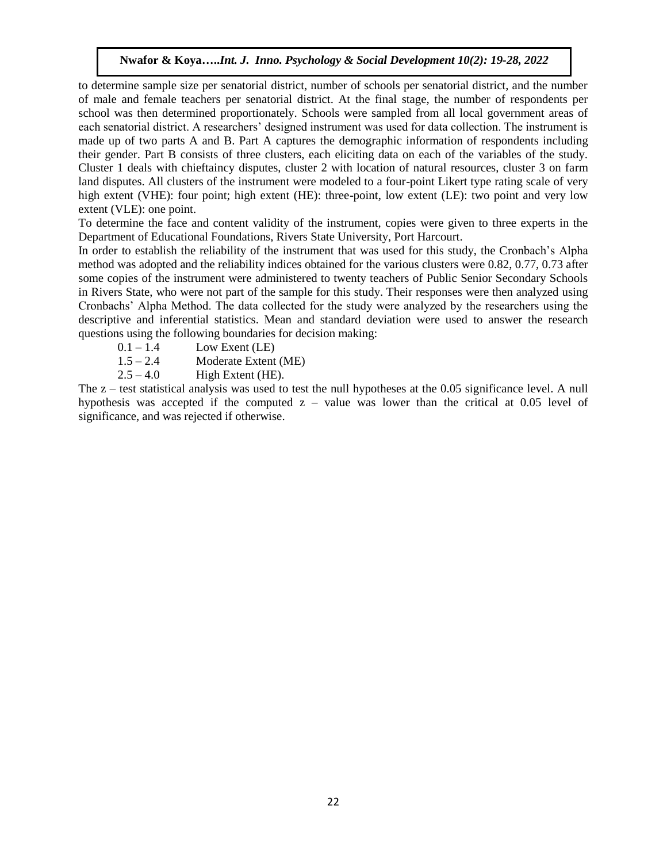to determine sample size per senatorial district, number of schools per senatorial district, and the number of male and female teachers per senatorial district. At the final stage, the number of respondents per school was then determined proportionately. Schools were sampled from all local government areas of each senatorial district. A researchers' designed instrument was used for data collection. The instrument is made up of two parts A and B. Part A captures the demographic information of respondents including their gender. Part B consists of three clusters, each eliciting data on each of the variables of the study. Cluster 1 deals with chieftaincy disputes, cluster 2 with location of natural resources, cluster 3 on farm land disputes. All clusters of the instrument were modeled to a four-point Likert type rating scale of very high extent (VHE): four point; high extent (HE): three-point, low extent (LE): two point and very low extent (VLE): one point.

To determine the face and content validity of the instrument, copies were given to three experts in the Department of Educational Foundations, Rivers State University, Port Harcourt.

In order to establish the reliability of the instrument that was used for this study, the Cronbach's Alpha method was adopted and the reliability indices obtained for the various clusters were 0.82, 0.77, 0.73 after some copies of the instrument were administered to twenty teachers of Public Senior Secondary Schools in Rivers State, who were not part of the sample for this study. Their responses were then analyzed using Cronbachs' Alpha Method. The data collected for the study were analyzed by the researchers using the descriptive and inferential statistics. Mean and standard deviation were used to answer the research questions using the following boundaries for decision making:

- $0.1 1.4$  Low Exent (LE)
- 1.5 2.4 Moderate Extent (ME)
- $2.5 4.0$  High Extent (HE).

The z – test statistical analysis was used to test the null hypotheses at the 0.05 significance level. A null hypothesis was accepted if the computed  $z -$  value was lower than the critical at 0.05 level of significance, and was rejected if otherwise.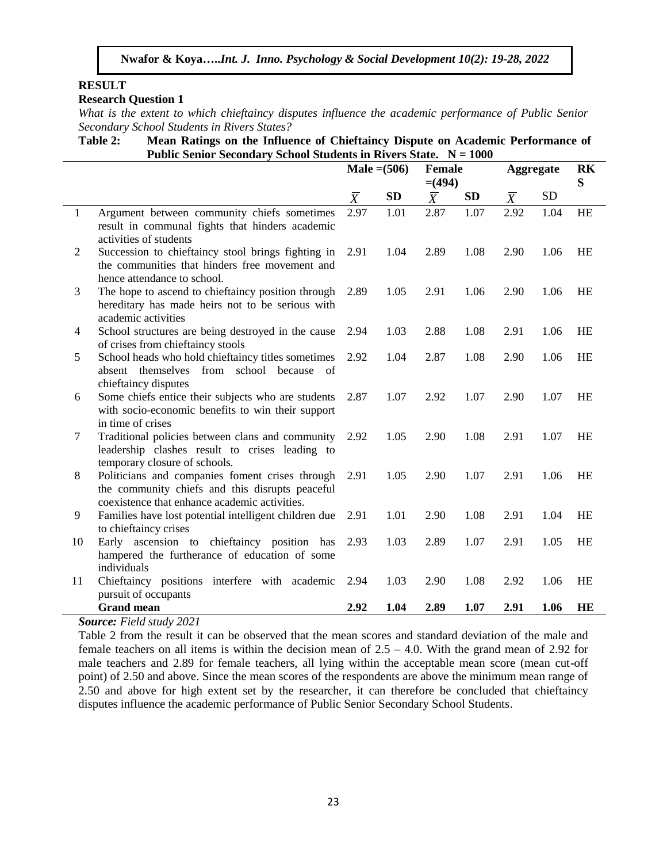## **RESULT**

## **Research Question 1**

*What is the extent to which chieftaincy disputes influence the academic performance of Public Senior Secondary School Students in Rivers States?* 

**Table 2: Mean Ratings on the Influence of Chieftaincy Dispute on Academic Performance of Public Senior Secondary School Students in Rivers State. N = 1000**

|              |                                                                                                                                                     | Male $=(506)$ |      | <b>Female</b><br>$= (494)$ |           | Aggregate                 | RK<br>S   |    |
|--------------|-----------------------------------------------------------------------------------------------------------------------------------------------------|---------------|------|----------------------------|-----------|---------------------------|-----------|----|
|              |                                                                                                                                                     | $\bar{X}$     | SD   | $\overline{X}$             | <b>SD</b> | $\overline{\overline{X}}$ | <b>SD</b> |    |
| $\mathbf{1}$ | Argument between community chiefs sometimes<br>result in communal fights that hinders academic<br>activities of students                            | 2.97          | 1.01 | 2.87                       | 1.07      | 2.92                      | 1.04      | HE |
| 2            | Succession to chieftaincy stool brings fighting in<br>the communities that hinders free movement and<br>hence attendance to school.                 | 2.91          | 1.04 | 2.89                       | 1.08      | 2.90                      | 1.06      | HE |
| 3            | The hope to ascend to chieftaincy position through<br>hereditary has made heirs not to be serious with<br>academic activities                       | 2.89          | 1.05 | 2.91                       | 1.06      | 2.90                      | 1.06      | HE |
| 4            | School structures are being destroyed in the cause<br>of crises from chieftaincy stools                                                             | 2.94          | 1.03 | 2.88                       | 1.08      | 2.91                      | 1.06      | HE |
| 5            | School heads who hold chieftaincy titles sometimes<br>school because<br>absent themselves<br>from<br>- of<br>chieftaincy disputes                   | 2.92          | 1.04 | 2.87                       | 1.08      | 2.90                      | 1.06      | HE |
| 6            | Some chiefs entice their subjects who are students<br>with socio-economic benefits to win their support<br>in time of crises                        | 2.87          | 1.07 | 2.92                       | 1.07      | 2.90                      | 1.07      | HE |
| 7            | Traditional policies between clans and community<br>leadership clashes result to crises leading to<br>temporary closure of schools.                 | 2.92          | 1.05 | 2.90                       | 1.08      | 2.91                      | 1.07      | HE |
| 8            | Politicians and companies foment crises through<br>the community chiefs and this disrupts peaceful<br>coexistence that enhance academic activities. | 2.91          | 1.05 | 2.90                       | 1.07      | 2.91                      | 1.06      | HE |
| 9            | Families have lost potential intelligent children due<br>to chieftaincy crises                                                                      | 2.91          | 1.01 | 2.90                       | 1.08      | 2.91                      | 1.04      | HE |
| 10           | Early ascension to chieftaincy position has<br>hampered the furtherance of education of some<br>individuals                                         | 2.93          | 1.03 | 2.89                       | 1.07      | 2.91                      | 1.05      | HE |
| 11           | Chieftaincy positions interfere with academic<br>pursuit of occupants                                                                               | 2.94          | 1.03 | 2.90                       | 1.08      | 2.92                      | 1.06      | HE |
|              | <b>Grand mean</b>                                                                                                                                   | 2.92          | 1.04 | 2.89                       | 1.07      | 2.91                      | 1.06      | HE |

#### *Source: Field study 2021*

Table 2 from the result it can be observed that the mean scores and standard deviation of the male and female teachers on all items is within the decision mean of  $2.5 - 4.0$ . With the grand mean of 2.92 for male teachers and 2.89 for female teachers, all lying within the acceptable mean score (mean cut-off point) of 2.50 and above. Since the mean scores of the respondents are above the minimum mean range of 2.50 and above for high extent set by the researcher, it can therefore be concluded that chieftaincy disputes influence the academic performance of Public Senior Secondary School Students.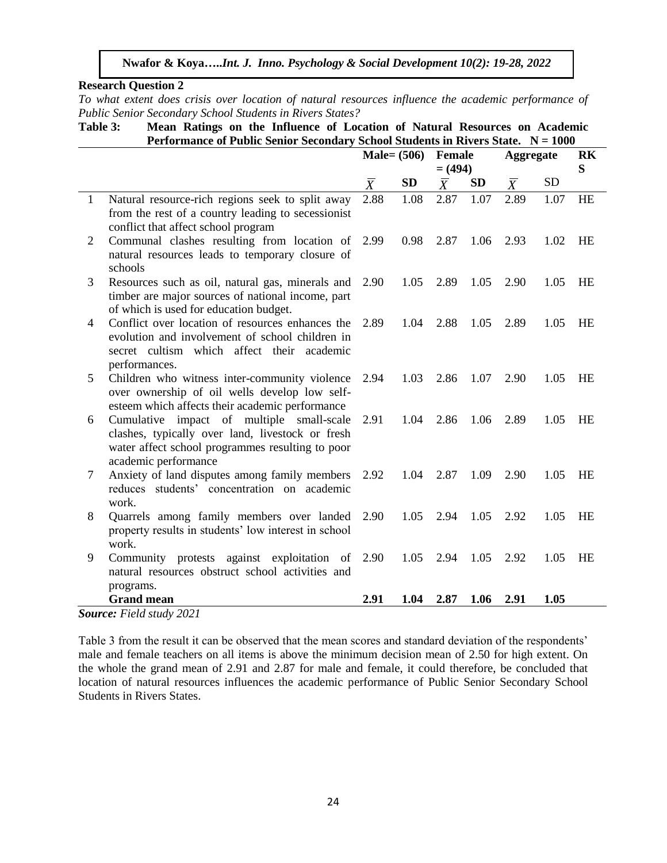## **Research Question 2**

*To what extent does crisis over location of natural resources influence the academic performance of Public Senior Secondary School Students in Rivers States?* 

**Table 3: Mean Ratings on the Influence of Location of Natural Resources on Academic Performance of Public Senior Secondary School Students in Rivers State. N = 1000**

|   |                                                                                                                                                                           | $Male = (506)$ |           | <b>Female</b>  |           | <b>Aggregate</b> | RK        |           |
|---|---------------------------------------------------------------------------------------------------------------------------------------------------------------------------|----------------|-----------|----------------|-----------|------------------|-----------|-----------|
|   |                                                                                                                                                                           |                |           | $= (494)$      |           |                  |           | S         |
|   |                                                                                                                                                                           | $\overline{X}$ | <b>SD</b> | $\overline{X}$ | <b>SD</b> | $\overline{X}$   | <b>SD</b> |           |
| 1 | Natural resource-rich regions seek to split away<br>from the rest of a country leading to secessionist<br>conflict that affect school program                             | 2.88           | 1.08      | 2.87           | 1.07      | 2.89             | 1.07      | <b>HE</b> |
| 2 | Communal clashes resulting from location of<br>natural resources leads to temporary closure of<br>schools                                                                 | 2.99           | 0.98      | 2.87           | 1.06      | 2.93             | 1.02      | <b>HE</b> |
| 3 | Resources such as oil, natural gas, minerals and<br>timber are major sources of national income, part<br>of which is used for education budget.                           | 2.90           | 1.05      | 2.89           | 1.05      | 2.90             | 1.05      | HE        |
| 4 | Conflict over location of resources enhances the<br>evolution and involvement of school children in<br>secret cultism which affect their academic<br>performances.        | 2.89           | 1.04      | 2.88           | 1.05      | 2.89             | 1.05      | <b>HE</b> |
| 5 | Children who witness inter-community violence<br>over ownership of oil wells develop low self-<br>esteem which affects their academic performance                         | 2.94           | 1.03      | 2.86           | 1.07      | 2.90             | 1.05      | HE        |
| 6 | Cumulative impact of multiple small-scale<br>clashes, typically over land, livestock or fresh<br>water affect school programmes resulting to poor<br>academic performance | 2.91           | 1.04      | 2.86           | 1.06      | 2.89             | 1.05      | <b>HE</b> |
| 7 | Anxiety of land disputes among family members<br>reduces students' concentration on academic<br>work.                                                                     | 2.92           | 1.04      | 2.87           | 1.09      | 2.90             | 1.05      | HE        |
| 8 | Quarrels among family members over landed<br>property results in students' low interest in school<br>work.                                                                | 2.90           | 1.05      | 2.94           | 1.05      | 2.92             | 1.05      | <b>HE</b> |
| 9 | Community protests against exploitation of 2.90<br>natural resources obstruct school activities and<br>programs.                                                          |                | 1.05      | 2.94           | 1.05      | 2.92             | 1.05      | <b>HE</b> |
|   | <b>Grand mean</b>                                                                                                                                                         | 2.91           | 1.04      | 2.87           | 1.06      | 2.91             | 1.05      |           |

*Source: Field study 2021*

Table 3 from the result it can be observed that the mean scores and standard deviation of the respondents' male and female teachers on all items is above the minimum decision mean of 2.50 for high extent. On the whole the grand mean of 2.91 and 2.87 for male and female, it could therefore, be concluded that location of natural resources influences the academic performance of Public Senior Secondary School Students in Rivers States.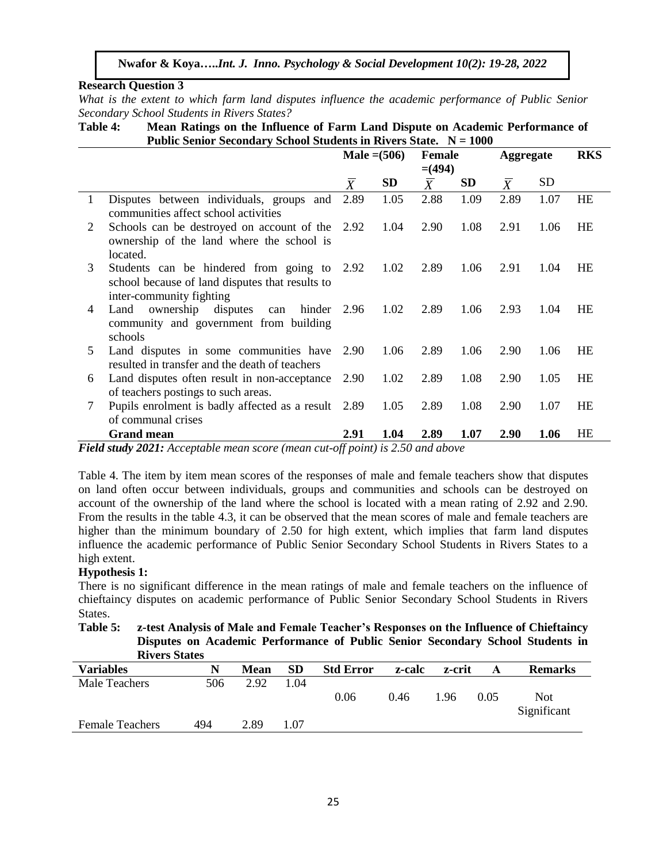## **Research Question 3**

*What is the extent to which farm land disputes influence the academic performance of Public Senior Secondary School Students in Rivers States?* 

**Table 4: Mean Ratings on the Influence of Farm Land Dispute on Academic Performance of Public Senior Secondary School Students in Rivers State. N = 1000** 

|         |                                                                                                                            | Male $= (506)$ |                       | <b>Female</b> |           | <b>Aggregate</b> |      | <b>RKS</b> |  |
|---------|----------------------------------------------------------------------------------------------------------------------------|----------------|-----------------------|---------------|-----------|------------------|------|------------|--|
|         |                                                                                                                            |                |                       | $= (494)$     |           |                  |      |            |  |
|         |                                                                                                                            | $\overline{X}$ | <b>SD</b>             | $\bar{X}$     | <b>SD</b> | $\overline{X}$   | SD   |            |  |
| 1       | Disputes between individuals, groups and<br>communities affect school activities                                           | 2.89           | 1.05                  | 2.88          | 1.09      | 2.89             | 1.07 | <b>HE</b>  |  |
| 2       | Schools can be destroyed on account of the<br>ownership of the land where the school is<br>located.                        | 2.92           | 1.04                  | 2.90          | 1.08      | 2.91             | 1.06 | <b>HE</b>  |  |
| 3       | Students can be hindered from going to 2.92<br>school because of land disputes that results to<br>inter-community fighting |                | 1.02                  | 2.89          | 1.06      | 2.91             | 1.04 | HE         |  |
| 4       | ownership disputes<br>Land<br>hinder<br>can<br>community and government from building<br>schools                           | 2.96           | 1.02                  | 2.89          | 1.06      | 2.93             | 1.04 | HE         |  |
| 5       | Land disputes in some communities have<br>resulted in transfer and the death of teachers                                   | 2.90           | 1.06                  | 2.89          | 1.06      | 2.90             | 1.06 | HE         |  |
| 6       | Land disputes often result in non-acceptance<br>of teachers postings to such areas.                                        | 2.90           | 1.02                  | 2.89          | 1.08      | 2.90             | 1.05 | <b>HE</b>  |  |
| 7       | Pupils enrolment is badly affected as a result 2.89<br>of communal crises                                                  |                | 1.05                  | 2.89          | 1.08      | 2.90             | 1.07 | <b>HE</b>  |  |
| --- - - | <b>Grand mean</b><br>$\mathbf{v}$<br>$\mathbf{r}$ and $\mathbf{r}$                                                         | 2.91           | 1.04<br>$\sim$ $\sim$ | 2.89          | 1.07      | 2.90             | 1.06 | HE         |  |

*Field study 2021: Acceptable mean score (mean cut-off point) is 2.50 and above*

Table 4. The item by item mean scores of the responses of male and female teachers show that disputes on land often occur between individuals, groups and communities and schools can be destroyed on account of the ownership of the land where the school is located with a mean rating of 2.92 and 2.90. From the results in the table 4.3, it can be observed that the mean scores of male and female teachers are higher than the minimum boundary of 2.50 for high extent, which implies that farm land disputes influence the academic performance of Public Senior Secondary School Students in Rivers States to a high extent.

## **Hypothesis 1:**

There is no significant difference in the mean ratings of male and female teachers on the influence of chieftaincy disputes on academic performance of Public Senior Secondary School Students in Rivers States.

**Table 5: z-test Analysis of Male and Female Teacher's Responses on the Influence of Chieftaincy Disputes on Academic Performance of Public Senior Secondary School Students in Rivers States**

| $\cdots$               |     |      |      |                  |        |        |      |                           |
|------------------------|-----|------|------|------------------|--------|--------|------|---------------------------|
| <b>Variables</b>       | N   | Mean | SD   | <b>Std Error</b> | z-calc | z-crit | A    | <b>Remarks</b>            |
| Male Teachers          | 506 | 2.92 | 1.04 |                  |        |        |      |                           |
|                        |     |      |      | 0.06             | 0.46   | 1.96   | 0.05 | <b>Not</b><br>Significant |
| <b>Female Teachers</b> | 494 | 2.89 | 1.07 |                  |        |        |      |                           |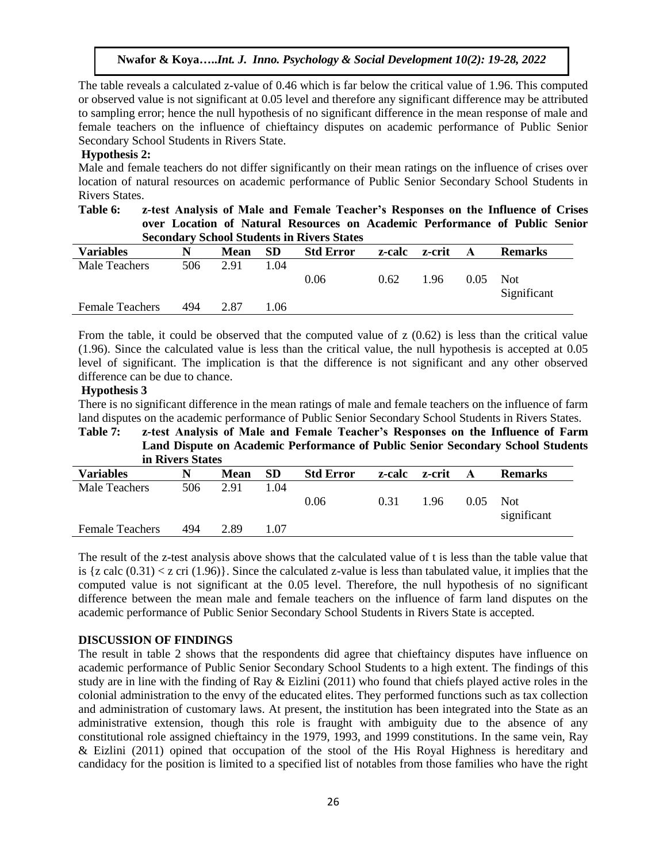The table reveals a calculated z-value of 0.46 which is far below the critical value of 1.96. This computed or observed value is not significant at 0.05 level and therefore any significant difference may be attributed to sampling error; hence the null hypothesis of no significant difference in the mean response of male and female teachers on the influence of chieftaincy disputes on academic performance of Public Senior Secondary School Students in Rivers State.

## **Hypothesis 2:**

Male and female teachers do not differ significantly on their mean ratings on the influence of crises over location of natural resources on academic performance of Public Senior Secondary School Students in Rivers States.

| Table 6: | z-test Analysis of Male and Female Teacher's Responses on the Influence of Crises |
|----------|-----------------------------------------------------------------------------------|
|          | over Location of Natural Resources on Academic Performance of Public Senior       |
|          | <b>Secondary School Students in Rivers States</b>                                 |

| <b>Variables</b>       | N   | Mean | <b>SD</b> | <b>Std Error</b> | z-calc | z-crit | A    | <b>Remarks</b> |
|------------------------|-----|------|-----------|------------------|--------|--------|------|----------------|
| Male Teachers          | 506 | 2.91 | 1.04      |                  |        |        |      |                |
|                        |     |      |           | 0.06             | 0.62   | 1.96   | 0.05 | <b>Not</b>     |
| <b>Female Teachers</b> | 494 | 2.87 | l.06      |                  |        |        |      | Significant    |

From the table, it could be observed that the computed value of z (0.62) is less than the critical value (1.96). Since the calculated value is less than the critical value, the null hypothesis is accepted at 0.05 level of significant. The implication is that the difference is not significant and any other observed difference can be due to chance.

## **Hypothesis 3**

There is no significant difference in the mean ratings of male and female teachers on the influence of farm land disputes on the academic performance of Public Senior Secondary School Students in Rivers States.

#### **Table 7: z-test Analysis of Male and Female Teacher's Responses on the Influence of Farm Land Dispute on Academic Performance of Public Senior Secondary School Students in Rivers States**

|                        | $\cdots$ |             |           |                  |        |        |      |                     |
|------------------------|----------|-------------|-----------|------------------|--------|--------|------|---------------------|
| <b>Variables</b>       | N        | <b>Mean</b> | <b>SD</b> | <b>Std Error</b> | z-calc | z-crit | A    | <b>Remarks</b>      |
| Male Teachers          | 506      | 2.91        | 1.04      |                  |        |        |      |                     |
|                        |          |             |           | 0.06             | 0.31   | 1.96   | 0.05 | Not.<br>significant |
| <b>Female Teachers</b> | 494      | 2.89        | 1.07      |                  |        |        |      |                     |

The result of the z-test analysis above shows that the calculated value of t is less than the table value that is  $\{z \text{ calc } (0.31) < z \text{ cri } (1.96)\}\.$  Since the calculated z-value is less than tabulated value, it implies that the computed value is not significant at the 0.05 level. Therefore, the null hypothesis of no significant difference between the mean male and female teachers on the influence of farm land disputes on the academic performance of Public Senior Secondary School Students in Rivers State is accepted.

## **DISCUSSION OF FINDINGS**

The result in table 2 shows that the respondents did agree that chieftaincy disputes have influence on academic performance of Public Senior Secondary School Students to a high extent. The findings of this study are in line with the finding of Ray  $\&$  Eizlini (2011) who found that chiefs played active roles in the colonial administration to the envy of the educated elites. They performed functions such as tax collection and administration of customary laws. At present, the institution has been integrated into the State as an administrative extension, though this role is fraught with ambiguity due to the absence of any constitutional role assigned chieftaincy in the 1979, 1993, and 1999 constitutions. In the same vein, Ray & Eizlini (2011) opined that occupation of the stool of the His Royal Highness is hereditary and candidacy for the position is limited to a specified list of notables from those families who have the right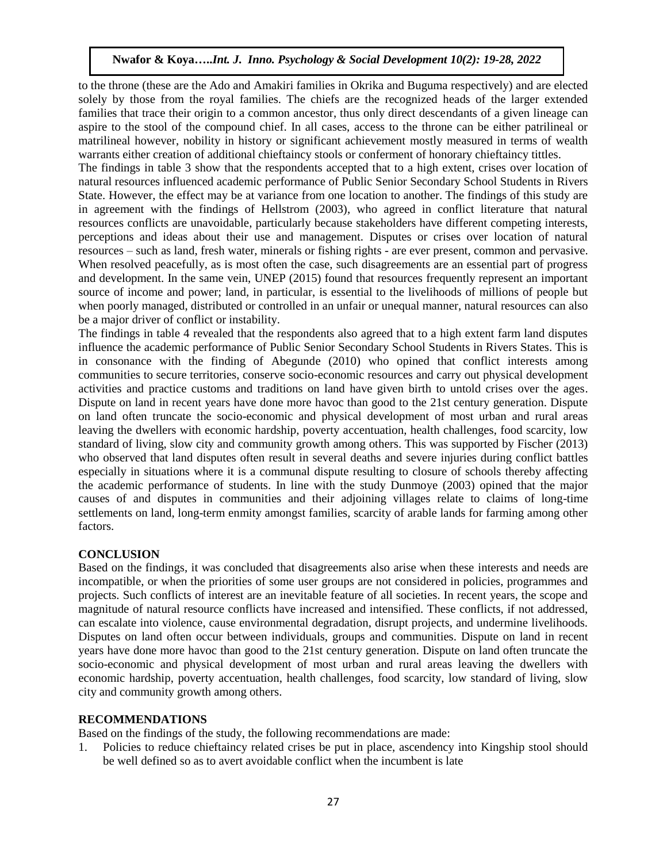to the throne (these are the Ado and Amakiri families in Okrika and Buguma respectively) and are elected solely by those from the royal families. The chiefs are the recognized heads of the larger extended families that trace their origin to a common ancestor, thus only direct descendants of a given lineage can aspire to the stool of the compound chief. In all cases, access to the throne can be either patrilineal or matrilineal however, nobility in history or significant achievement mostly measured in terms of wealth warrants either creation of additional chieftaincy stools or conferment of honorary chieftaincy tittles.

The findings in table 3 show that the respondents accepted that to a high extent, crises over location of natural resources influenced academic performance of Public Senior Secondary School Students in Rivers State. However, the effect may be at variance from one location to another. The findings of this study are in agreement with the findings of Hellstrom (2003), who agreed in conflict literature that natural resources conflicts are unavoidable, particularly because stakeholders have different competing interests, perceptions and ideas about their use and management. Disputes or crises over location of natural resources – such as land, fresh water, minerals or fishing rights - are ever present, common and pervasive. When resolved peacefully, as is most often the case, such disagreements are an essential part of progress and development. In the same vein, UNEP (2015) found that resources frequently represent an important source of income and power; land, in particular, is essential to the livelihoods of millions of people but when poorly managed, distributed or controlled in an unfair or unequal manner, natural resources can also be a major driver of conflict or instability.

The findings in table 4 revealed that the respondents also agreed that to a high extent farm land disputes influence the academic performance of Public Senior Secondary School Students in Rivers States. This is in consonance with the finding of Abegunde (2010) who opined that conflict interests among communities to secure territories, conserve socio-economic resources and carry out physical development activities and practice customs and traditions on land have given birth to untold crises over the ages. Dispute on land in recent years have done more havoc than good to the 21st century generation. Dispute on land often truncate the socio-economic and physical development of most urban and rural areas leaving the dwellers with economic hardship, poverty accentuation, health challenges, food scarcity, low standard of living, slow city and community growth among others. This was supported by Fischer (2013) who observed that land disputes often result in several deaths and severe injuries during conflict battles especially in situations where it is a communal dispute resulting to closure of schools thereby affecting the academic performance of students. In line with the study Dunmoye (2003) opined that the major causes of and disputes in communities and their adjoining villages relate to claims of long-time settlements on land, long-term enmity amongst families, scarcity of arable lands for farming among other factors.

## **CONCLUSION**

Based on the findings, it was concluded that disagreements also arise when these interests and needs are incompatible, or when the priorities of some user groups are not considered in policies, programmes and projects. Such conflicts of interest are an inevitable feature of all societies. In recent years, the scope and magnitude of natural resource conflicts have increased and intensified. These conflicts, if not addressed, can escalate into violence, cause environmental degradation, disrupt projects, and undermine livelihoods. Disputes on land often occur between individuals, groups and communities. Dispute on land in recent years have done more havoc than good to the 21st century generation. Dispute on land often truncate the socio-economic and physical development of most urban and rural areas leaving the dwellers with economic hardship, poverty accentuation, health challenges, food scarcity, low standard of living, slow city and community growth among others.

#### **RECOMMENDATIONS**

Based on the findings of the study, the following recommendations are made:

1. Policies to reduce chieftaincy related crises be put in place, ascendency into Kingship stool should be well defined so as to avert avoidable conflict when the incumbent is late